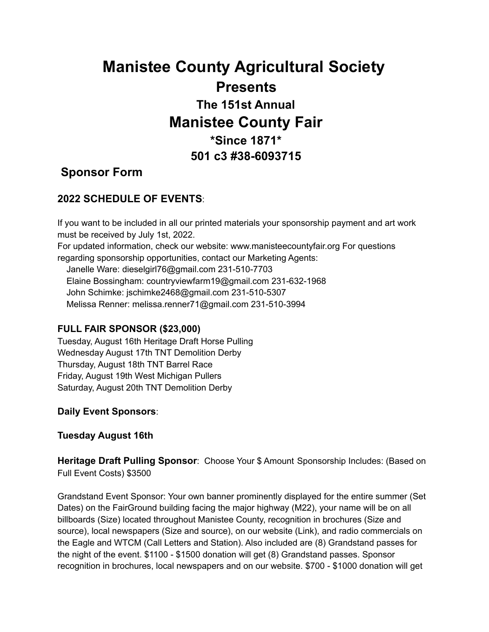# **Manistee County Agricultural Society Presents The 151st Annual Manistee County Fair \*Since 1871\* 501 c3 #38-6093715**

## **Sponsor Form**

## **2022 SCHEDULE OF EVENTS**:

If you want to be included in all our printed materials your sponsorship payment and art work must be received by July 1st, 2022. For updated information, check our website: www.manisteecountyfair.org For questions regarding sponsorship opportunities, contact our Marketing Agents: Janelle Ware: dieselgirl76@gmail.com 231-510-7703 Elaine Bossingham: countryviewfarm19@gmail.com 231-632-1968 John Schimke: jschimke2468@gmail.com 231-510-5307 Melissa Renner: melissa.renner71@gmail.com 231-510-3994

### **FULL FAIR SPONSOR (\$23,000)**

Tuesday, August 16th Heritage Draft Horse Pulling Wednesday August 17th TNT Demolition Derby Thursday, August 18th TNT Barrel Race Friday, August 19th West Michigan Pullers Saturday, August 20th TNT Demolition Derby

**Daily Event Sponsors**:

**Tuesday August 16th**

**Heritage Draft Pulling Sponsor**: Choose Your \$ Amount Sponsorship Includes: (Based on Full Event Costs) \$3500

Grandstand Event Sponsor: Your own banner prominently displayed for the entire summer (Set Dates) on the FairGround building facing the major highway (M22), your name will be on all billboards (Size) located throughout Manistee County, recognition in brochures (Size and source), local newspapers (Size and source), on our website (Link), and radio commercials on the Eagle and WTCM (Call Letters and Station). Also included are (8) Grandstand passes for the night of the event. \$1100 - \$1500 donation will get (8) Grandstand passes. Sponsor recognition in brochures, local newspapers and on our website. \$700 - \$1000 donation will get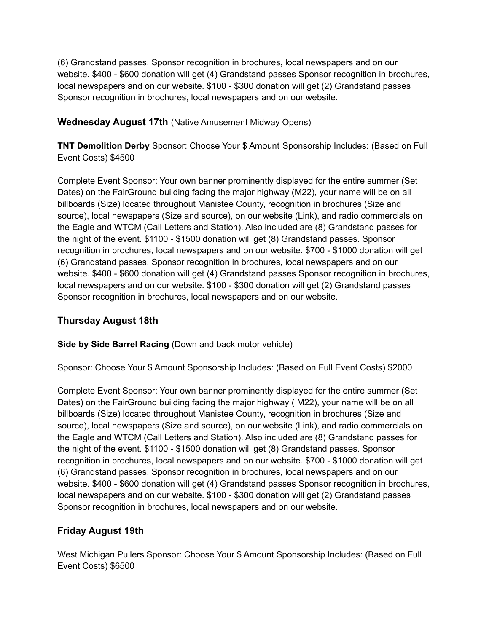(6) Grandstand passes. Sponsor recognition in brochures, local newspapers and on our website. \$400 - \$600 donation will get (4) Grandstand passes Sponsor recognition in brochures, local newspapers and on our website. \$100 - \$300 donation will get (2) Grandstand passes Sponsor recognition in brochures, local newspapers and on our website.

**Wednesday August 17th** (Native Amusement Midway Opens)

**TNT Demolition Derby** Sponsor: Choose Your \$ Amount Sponsorship Includes: (Based on Full Event Costs) \$4500

Complete Event Sponsor: Your own banner prominently displayed for the entire summer (Set Dates) on the FairGround building facing the major highway (M22), your name will be on all billboards (Size) located throughout Manistee County, recognition in brochures (Size and source), local newspapers (Size and source), on our website (Link), and radio commercials on the Eagle and WTCM (Call Letters and Station). Also included are (8) Grandstand passes for the night of the event. \$1100 - \$1500 donation will get (8) Grandstand passes. Sponsor recognition in brochures, local newspapers and on our website. \$700 - \$1000 donation will get (6) Grandstand passes. Sponsor recognition in brochures, local newspapers and on our website. \$400 - \$600 donation will get (4) Grandstand passes Sponsor recognition in brochures, local newspapers and on our website. \$100 - \$300 donation will get (2) Grandstand passes Sponsor recognition in brochures, local newspapers and on our website.

### **Thursday August 18th**

**Side by Side Barrel Racing** (Down and back motor vehicle)

Sponsor: Choose Your \$ Amount Sponsorship Includes: (Based on Full Event Costs) \$2000

Complete Event Sponsor: Your own banner prominently displayed for the entire summer (Set Dates) on the FairGround building facing the major highway ( M22), your name will be on all billboards (Size) located throughout Manistee County, recognition in brochures (Size and source), local newspapers (Size and source), on our website (Link), and radio commercials on the Eagle and WTCM (Call Letters and Station). Also included are (8) Grandstand passes for the night of the event. \$1100 - \$1500 donation will get (8) Grandstand passes. Sponsor recognition in brochures, local newspapers and on our website. \$700 - \$1000 donation will get (6) Grandstand passes. Sponsor recognition in brochures, local newspapers and on our website. \$400 - \$600 donation will get (4) Grandstand passes Sponsor recognition in brochures, local newspapers and on our website. \$100 - \$300 donation will get (2) Grandstand passes Sponsor recognition in brochures, local newspapers and on our website.

## **Friday August 19th**

West Michigan Pullers Sponsor: Choose Your \$ Amount Sponsorship Includes: (Based on Full Event Costs) \$6500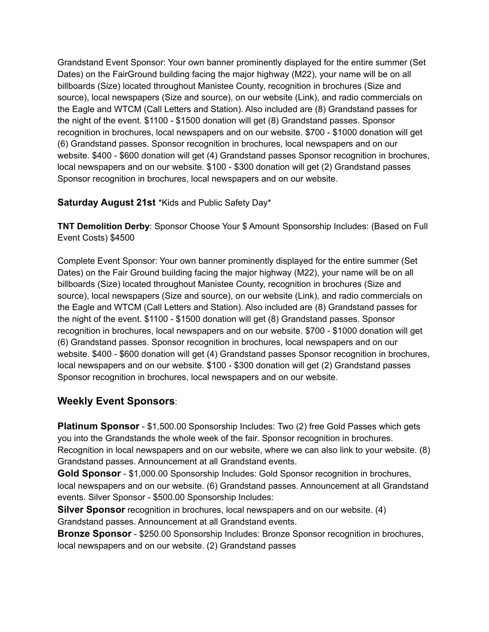Grandstand Event Sponsor: Your own banner prominently displayed for the entire summer (Set Dates) on the FairGround building facing the major highway (M22), your name will be on all billboards (Size) located throughout Manistee County, recognition in brochures (Size and source), local newspapers (Size and source), on our website (Link), and radio commercials on the Eagle and WTCM (Call Letters and Station). Also included are (8) Grandstand passes for the night of the event. \$1100 - \$1500 donation will get (8) Grandstand passes. Sponsor recognition in brochures, local newspapers and on our website. \$700 - \$1000 donation will get (6) Grandstand passes. Sponsor recognition in brochures, local newspapers and on our website. \$400 - \$600 donation will get (4) Grandstand passes Sponsor recognition in brochures, local newspapers and on our website. \$100 - \$300 donation will get (2) Grandstand passes Sponsor recognition in brochures, local newspapers and on our website.

#### **Saturday August 21st** \*Kids and Public Safety Day\*

**TNT Demolition Derby**: Sponsor Choose Your \$ Amount Sponsorship Includes: (Based on Full Event Costs) \$4500

Complete Event Sponsor: Your own banner prominently displayed for the entire summer (Set Dates) on the Fair Ground building facing the major highway (M22), your name will be on all billboards (Size) located throughout Manistee County, recognition in brochures (Size and source), local newspapers (Size and source), on our website (Link), and radio commercials on the Eagle and WTCM (Call Letters and Station). Also included are (8) Grandstand passes for the night of the event. \$1100 - \$1500 donation will get (8) Grandstand passes. Sponsor recognition in brochures, local newspapers and on our website. \$700 - \$1000 donation will get (6) Grandstand passes. Sponsor recognition in brochures, local newspapers and on our website. \$400 - \$600 donation will get (4) Grandstand passes Sponsor recognition in brochures, local newspapers and on our website. \$100 - \$300 donation will get (2) Grandstand passes Sponsor recognition in brochures, local newspapers and on our website.

## **Weekly Event Sponsors**:

**Platinum Sponsor** - \$1,500.00 Sponsorship Includes: Two (2) free Gold Passes which gets you into the Grandstands the whole week of the fair. Sponsor recognition in brochures. Recognition in local newspapers and on our website, where we can also link to your website. (8) Grandstand passes. Announcement at all Grandstand events.

**Gold Sponsor** - \$1,000.00 Sponsorship Includes: Gold Sponsor recognition in brochures, local newspapers and on our website. (6) Grandstand passes. Announcement at all Grandstand events. Silver Sponsor - \$500.00 Sponsorship Includes:

**Silver Sponsor** recognition in brochures, local newspapers and on our website. (4) Grandstand passes. Announcement at all Grandstand events.

**Bronze Sponsor** - \$250.00 Sponsorship Includes: Bronze Sponsor recognition in brochures, local newspapers and on our website. (2) Grandstand passes